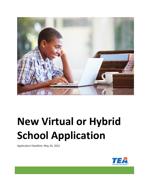

# **New Virtual or Hybrid School Application**

Application Deadline: May 20, 2022

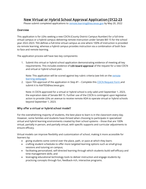# New Virtual or Hybrid School Approval Application|SY22-23

Please submit completed applications to [remote.learning@tea.texas.gov](mailto:remote.learning@tea.texas.gov) by May 20, 2022

## Overview

This application is for LEAs seeking a new CDCN (County District Campus Number) for a full-time virtual campus or a hybrid campus delivering remote instruction under Senate Bill 15 for the school year 2022-2023. TEA defines a full-time virtual campus as one where 100% of instruction is provided via remote learning, whereas a hybrid campus provides instruction via a combination of both faceto-face and remote learning.

The application process will have two key components:

1. Submit this virtual or hybrid school application demonstrating evidence of meeting all key requirements. This includes evidence of LEA board approval of the request for a new CDCN and virtual or hybrid school plan.

Note: This application will be scored against key rubric criteria (see link on the remote [learning webpage\)](https://tea.texas.gov/academics/learning-support-and-programs/remote-learning).

2. Upon TEA approval of the application in Step #1 – Complete this CDCN [Request Form](https://tea4avholly.tea.state.tx.us/Tea.AskTed.Web/help/Campus_ID_Request_Form.docx) and submit it to [AskTED@tea.texas.gov.](mailto:AskTED@tea.texas.gov)

Note: A CDCN approved for a virtual or hybrid school is only valid until September 1, 2023, the expiration date of Senate Bill 15. Further use of the CDCN is contingent upon legislative action to provide LEAs an avenue to receive remote ADA to operate virtual or hybrid schools beyond September 1, 2023.

## Why offer a virtual or hybrid school model?

For the overwhelming majority of students, the best place to learn is in the classroom every day. However, some families and students have thrived when choosing to participate in specialized virtual and hybrid learning environments created by their school systems – those that are 100% virtual, partially in person, and partially virtual, with specific supports and curricular adjustments to ensure efficacy.

Virtual models can improve flexibility and customization of school, making it more accessible for learners by:

- giving students some control over the place, path, or pace at which they learn;
- crafting student schedules to offer more targeted learning options such as small group sessions and tutoring on campus;
- facilitating personalized, self-directed learning through which students build self-efficacy and time management skills; and
- leveraging educational technology tools to deliver instruction and engage students by practicing concepts through fun, feedback-rich, interactive programs.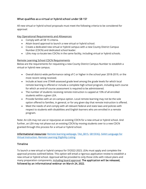## What qualifies as a virtual or hybrid school under SB 15?

All new virtual or hybrid school proposals must meet the following criteria to be considered for approval:

## Key Operational Requirements and Allowances

- Comply with all SB 15 criteria.
- Attain board approval to launch a new virtual or hybrid school.
- Create a dedicated new virtual or hybrid campus with a new County District Campus Number (CDCN) and dedicated school leader.
- LEAs may co-locate two CDCNs in the same facility, including virtual or hybrid schools.

## Remote Learning School CDCN Requirements

Below are the requirements for requesting a new County District Campus Number to establish a virtual or hybrid new campus.

- Overall district-wide performance rating of C or higher in the school year 2018-2019, or the most recent rating received.
- Include at least one STAAR-assessed grade level among the grade levels for which local remote learning is offered or include a complete high school program, including each course for which an end-of-course assessment is required to be administered.
- The number of students receiving remote instruction is capped at 10% of all enrolled students within a given LEA.
- Provide families with an on-campus option. Local remote learning may not be the sole option offered to families, in general, or for any given day that remote instruction is offered.
- Meet the needs of and comply with all relevant federal and state laws and policies with respect to students with disabilities and English learners who are enrolled in a remote program.

Note: An LEA may not use or repurpose an existing CDCN for a new virtual or hybrid school. And further, an LEA may not phase out an existing CDCN by moving students over to a new CDCN granted through this process for a virtual or hybrid school.

Informational resources: [Remote learning webpage,](https://tea.texas.gov/academics/learning-support-and-programs/remote-learning) [TAA\\_SB15,](https://tea.texas.gov/sites/default/files/covid/TAA_SB-15.pdf) [SB15FAQ,](https://tea.texas.gov/sites/default/files/covid/sb15-faq.pdf) SAAH Language for [Virtual Instruction,](https://tea.texas.gov/sites/default/files/covid/Virtual-Learning.pdf) [Remote Learning Eligibility Listing](https://tea.texas.gov/sites/default/files/covid/2021-22-local-remote-learning-program-ada-funding-eligibility-lea-guide.pdf)

## Timeline

To launch a new virtual or hybrid campus for SY2022-2023, LEAs must apply and complete the approval process outlined below. This option will entail a rigorous application review to establish a new virtual or hybrid school. Approval will be provided to only those LEAs with robust plans and many preparation components, including board approval. The application will be released, followed by an informational webinar on March 24, 2022.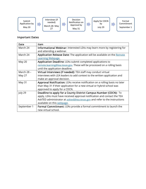

# Important Dates

| Date        | Item                                                                         |
|-------------|------------------------------------------------------------------------------|
| March 24    | Informational Webinar: Interested LEAs may learn more by registering for     |
|             | and attending a webinar.                                                     |
| March 24    | Application Release Date: The application will be available on the Remote    |
|             | Learning Webpage.                                                            |
| May 20      | Application Deadline: LEAs submit completed applications to                  |
|             | remote.learning@tea.texas.gov. These will be processed on a rolling basis    |
|             | until the application deadline.                                              |
| March 28 -  | Virtual Interviews (if needed): TEA staff may conduct virtual                |
| May 27      | interviews with LEA leaders to add context to the written application and    |
|             | make an approval decision.                                                   |
| May 31      | Approval Notification: LEAs receive notification on a rolling basis no later |
|             | than May 31 if their application for a new virtual or hybrid school was      |
|             | approved to apply for a CDCN.                                                |
| July 29     | Deadline to apply for a County District Campus Number (CDCN): To             |
|             | apply, LEAs must have received approval notification and contact the TEA     |
|             | AskTED administrator at askted@tea.texas.gov and refer to the instructions   |
|             | available on this webpage.                                                   |
| September 1 | Formal Commitment: LEAs provide a formal commitment to launch the            |
|             | new virtual school.                                                          |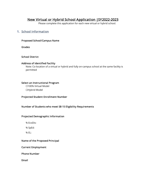# New Virtual or Hybrid School Application |SY2022-2023

Please complete this application for each new virtual or hybrid school.

## 1. School Information

## Proposed School/Campus Name

Grades

## School District

#### Address of Identified Facility

Note: Co-location of a virtual or hybrid and fully on-campus school at the same facility is permitted

## Select an Instructional Program

☐100% Virtual Model ☐Hybrid Model

#### Projected Student Enrollment Number

## Number of Students who meet SB 15 Eligibility Requirements

## Projected Demographic Information

% EcoDis:

% SpEd:

% EL:

## Name of the Proposed Principal

Current Employment

Phone Number

Email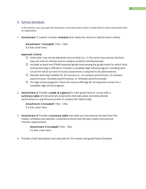## 2. School Schedule

In this section, you may type the responses in the text boxes and/or include links to other documents with an explanation.

1. Attachment 1: Submit a master schedule that meets the virtual or hybrid school criteria.

#### Attachment 1 Included? ☐Yes ☐No

If a link, enter here:

#### Approval criteria

- $\Box$  Instruction may not be delivered concurrently (i.e., in the same class period, teachers may not instruct remote and on-campus students simultaneously).
- $\Box$  Includes at least one STAAR-assessed grade level among the grade levels for which local remote learning is offered or includes a complete high school program, including each course for which an end-of-course assessment is required to be administered.
- $\Box$  Denotes learning modality for all courses (i.e., on-campus synchronous, on-campus asynchronous, remotely synchronously, or remotely asynchronously)
- $\Box$  For high school programs, there are course offerings for all required courses for a complete high school program.
- 2. Attachment 2: Provide a week at a glance for each grade level or course with a summary table of instructional components that take place remotely (denote synchronous or asynchronous) and on-campus (for *hybrid only*).

Attachment 2 Included? □Yes □No If a link, enter here:

3. Attachment 3: Provide a summary table that adds up instructional minutes from the master schedule and calendar combined to show how the plan meets instructional minutes requirements.

> Attachment 3 Included? ☐Yes ☐No If a link, enter here:

4. Provide a brief description and rationale for the master and grade level schedules.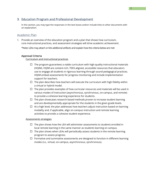## 3. Education Program and Professional Development

In this section, you may type the responses in the text boxes and/or include links to other documents with an explanation.

## Academic Plan

1. Provide an overview of the education program and a plan that shows how curriculum, core instructional practices, and assessment strategies will drive academic achievement.

\*Note: LEAs may attach or link additional artifacts and explain how the criteria below are met

#### Approval Criteria

Curriculum and Instructional practices

- $\Box$  The program guarantees a viable curriculum with high-quality instructional materials (HQIM). HQIM are content-rich, TEKS-aligned, accessible resources that educators use to engage all students in rigorous learning through sound pedagogical practices. HQIM embed assessments for progress monitoring and include implementation support for teachers.
- $\Box$  The plan describes how teachers will execute the curriculum with high fidelity within a virtual or hybrid model.
- $\Box$  The plan provides examples of how curricular resources and materials will be used in various modes of instruction (asynchronous, synchronous, on-campus, and remote) to provide a cohesive learning experience for students.
- $\Box$  The plan showcases research-based methods proven to increase student learning and are developmentally appropriate for the students in the given grade levels.
- $\Box$  At a high level, the plan addresses how teachers adjust instruction based on learning modality and, if applicable, align on-campus instruction and remote learning activities to provide a cohesive student experience.

#### Assessments strategies

- $\Box$  The plan shows how the LEA will administer assessments to students enrolled in local remote learning in the same manner as students learning on campus.
- $\Box$  The plan shows when LEAs will periodically assess students in the remote learning program to assess progress.
- $\Box$  Formative and summative assessments are designed to function in different learning modes (i.e., virtual, on-campus, asynchronous, synchronous).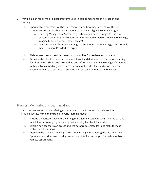- 2. Provide a plan for all major digital programs used in core components of instruction and learning.
	- i. Specify which programs will be used remotely and how they connect to either oncampus resources or other digital options to create an aligned, cohesive program.
		- o Learning Management System (e.g., Schoology, Canvas, Google Classroom)
		- o Content-Specific Digital Programs for Intervention or Personalized Learning (e.g., Imagine Learning, Zearn, Lexia, STMath)
		- o Digital Programs for active learning and student engagement (e.g., Zoom, Google meets, Seesaw, Peardeck, Nearpod)
	- ii. Elaborate on how accessible the technology will be for teachers and students.
	- iii. Describe the plan to assess and ensure internet and device access for remote learning for all students. Share any current data and information on the percentage of students with reliable connectivity and devices. Include options for families to solve internetrelated problems to ensure that students can succeed on remote learning days.

## Progress Monitoring and Learning Gaps

- 1. Describe teacher and student-facing systems used to track progress and determine student success within the virtual or hybrid learning model.
	- i. Include the functionality of the learning management software (LMS) and the ease at which teachers assign, grade, and provide quality feedback for students.
	- ii. Explain how teachers can access student data from remote learning tasks to make instructional decisions.
	- iii. Describe the student's role in progress monitoring and achieving their learning goals. Specify how students can readily access their data for on-campus (for hybrid only) and remote assignments.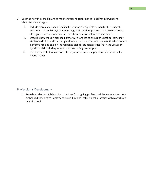- 2. Describe how the school plans to monitor student performance to deliver interventions when students struggle.
	- i. Include a pre-established timeline for routine checkpoints to monitor the student success in a virtual or hybrid model (e.g., audit student progress on learning goals or class grades every 6-weeks or after each summative/ interim assessment).
	- ii. Describe how the LEA plans to partner with families to ensure the best outcomes for students within the virtual or hybrid model. Include how parents are notified of student performance and explain the response plan for students struggling in the virtual or hybrid model, including an option to return fully on-campus.
	- iii. Address how students receive tutoring or acceleration supports within the virtual or hybrid model.

## Professional Development

1. Provide a calendar with learning objectives for ongoing professional development and jobembedded coaching to implement curriculum and instructional strategies within a virtual or hybrid school.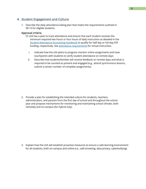## 4. Student Engagement and Culture

1. Describe the daily attendance-taking plan that meets the requirements outlined in SB 15 for eligible students.

## Approval criteria

- $\Box$  LEA has a plan to track attendance and ensure that each student receives the minimum required two hours or four hours of daily instruction as detailed in the [Student Attendance Accounting Handbook](https://tea.texas.gov/finance-and-grants/financial-compliance/student-attendance-accounting-handbook) to qualify for half-day or full-day FSP funding, respectively. See [attendance requirements](https://tea.texas.gov/sites/default/files/covid/Virtual-Learning.pdf) for virtual instruction.
	- i. Indicate how the LEA plans to progress monitor online assignments and have touchpoints with students to verify student attendance on remote days.
	- ii. Describe how students/families will receive feedback on remote days and what is required to be counted as present and engaged (e.g., attend synchronous lessons, submit a certain number of complete assignments).

2. Provide a plan for establishing the intended culture for students, teachers, administrators, and parents from the first day of school and throughout the school year and propose mechanisms for monitoring and maintaining school climate, both remotely and on-campus (for hybrid only).

3. Explain how the LEA will establish proactive measures to ensure a safe learning environment for all students, both on-campus and online (i.e., safe browsing, data privacy, cyberbullying).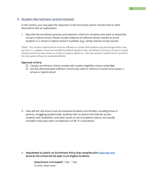## 5. Student Recruitment and Enrollment

In this section, you may type the responses in the text boxes and/or include links to other documents with an explanation.

1. Describe the enrollment process and selection criteria for students who want to attend the virtual or hybrid school. Please include evidence of sufficient family interest to enroll students in a virtual or hybrid school if available. (e.g., family interest survey results)

\*Note: The virtual or hybrid school must be offered as a choice that students and parents/guardians may opt into (i.e., students cannot be enrolled by default based on their enrollment zone into a virtual or hybrid campus) and must have access to a fully on-campus option (i.e., the new virtual or hybrid school cannot be the only option offered to students/families)

## Approval criteria

- $\Box$  Campus enrollment criteria comply with student eligibility criteria noted [here](https://tea.texas.gov/sites/default/files/covid/TAA_SB-15.pdf).
- $\Box$  LEA has demonstrated sufficient community need or interest to launch and sustain a virtual or hybrid school

2. How will the LEA ensure that all interested students and families, including those in poverty, struggling academically, students with no device and internet access, students with disabilities, and other youth at risk of academic failure, are equally included in this plan (with consideration of SB 15 constraints)?

3. Attachment 4, submit an Enrollment Policy that complies with [state law](https://statutes.capitol.texas.gov/Docs/ED/htm/ED.25.htm) and ensures the school will be open to all eligible students.

> Attachment 4 Included? ☐Yes ☐No If a link, enter here: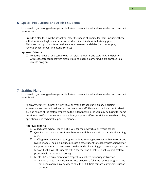## 6. Special Populations and At-Risk Students

In this section, you may type the responses in the text boxes and/or include links to other documents with an explanation.

1. Provide a plan for how the school will meet the needs of diverse learners, including those with disabilities, English learners, and students identified as intellectually gifted. Elaborate on supports offered within various learning modalities (i.e., on-campus, remote, synchronous, and asynchronous).

## Approval Criteria

 $\Box$  Meet the needs of and comply with all relevant federal and state laws and policies with respect to students with disabilities and English learners who are enrolled in a remote program.

## 7. Staffing Plans

In this section, you may type the responses in the text boxes and/or include links to other documents with an explanation

1. As an attachment, submit a new virtual or hybrid school staffing plan, including administrative, instructional, and support services staff. Please also include specific details, such as names of the staff members (to the extent possible, as you may be hiring for some positions), certifications, content, grade level, support staff responsibilities, coaching roles, operational and technical support personnel.

## Approval criteria

- $\Box$  A dedicated school leader exclusively for the new virtual or hybrid school
- $\Box$  Qualified teachers and staff members who will thrive in a virtual or hybrid learning model
- $\Box$  Staffing roles have been redesigned to drive learning outcomes within a virtual and hybrid model. The plan includes classes sizes, student to teacher/instructional staff support ratio as it changes based on the mode of learning (e.g., remote synchronous for Alg. 1 will have 30 students with 1 teacher and 1 instructional support staff to provide help in break out rooms)
- $\Box$  Meets SB 15 requirements with respect to teachers delivering instruction
	- $\circ$  Ensure that teachers delivering instruction in a full-time remote program have not been coerced in any way to take their full-time remote learning instruction position.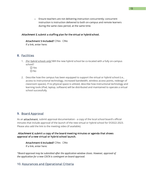o Ensure teachers are not delivering instruction concurrently; concurrent instruction is instruction delivered to both on-campus and remote learners during the same class period, at the same time.

## Attachment 5, submit a staffing plan for the virtual or hybrid school.

#### Attachment 5 Included? □Yes □No

If a link, enter here:

## 8. Facilities

- 1. *[For hybrid schools only]* Will the new hybrid school be co-located with a fully on-campus school?
	- ☐ Yes ☐ No
- 2. Describe how the campus has been equipped to support the virtual or hybrid school (i.e., access to instructional technology, increased bandwidth, wireless access points, redesign of classroom spaces). If no physical space is utilized, describe how instructional technology and learning tools (iPad, laptop, software) will be distributed and maintained to operate a virtual school successfully.

## 9. Board Approval

As an attachment, submit approval documentation - a copy of the local school board's official minutes that include approval of the launch of the new virtual or hybrid school for SY2022-2023. Please also add the link to the meeting video (if available).

## Attachment 6, submit a copy of the board meeting minutes or agenda that shows approval of a new virtual or hybrid school launch.

Attachment 6 Included? □Yes □No If a link, enter here:

*\*Board approval may be submitted after the application window closes. However, approval of the application for a new CDCN is contingent on board approval.* 

## 10. Assurances and Operational Criteria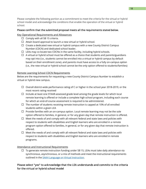Please complete the following portion as a commitment to meet the criteria for the virtual or hybrid school model and acknowledge the conditions that enable the operation of the virtual or hybrid school.

## Please confirm that the submitted proposal meets all the requirements stated below.

## Key Operational Requirements and Allowances

- $\Box$  Comply with all SB 15 criteria.
- $\Box$  Attain board approval to launch a new virtual or hybrid school.
- $\Box$  Create a dedicated new virtual or hybrid campus with a new County District Campus Number (CDCN) and dedicated school leader.
- $\Box$  LEAs may co-locate two CDCNs in the same facility, including hybrid schools.
- $\Box$  A virtual or hybrid school must be offered as a choice that students and parents/guardians may opt into (i.e., students cannot be enrolled into a virtual or hybrid campus by default based on their enrollment zone), and parents must have access to a fully on-campus option (i.e., the new virtual or hybrid school cannot be the only option offered to students/families)

## Remote Learning School CDCN Requirements

Below are the requirements for requesting a new County District Campus Number to establish a virtual or hybrid new campus.

- $\Box$  Overall district-wide performance rating of C or higher in the school year 2018-2019, or the most recent rating received
- $\Box$  Include at least one STAAR-assessed grade level among the grade levels for which local remote learning is offered or include a complete high school program, including each course for which an end-of-course assessment is required to be administered.
- $\Box$  The number of students receiving remote instruction is capped at 10% of all enrolled students within a given LEA
- $\Box$  Provide families with an on-campus option. Local remote learning may not be the sole option offered to families, in general, or for any given day that remote instruction is offered.
- $\Box$  Meet the needs of and comply with all relevant federal and state laws and policies with respect to students with disabilities and English learners who are enrolled in a remote program option offered to families, in general, or for any given day that remote instruction is offered.
- $\Box$  Meet the needs of and comply with all relevant federal and state laws and policies with respect to students with disabilities and English learners who are enrolled in remote programs.

## Attendance and Instructional Requirements

 $\Box$  To generate remote instruction funding under SB 15, LEAs must take daily attendance via synchronous, asynchronous, or a mix of methods and meet the instructional requirements outlined in the [SAAH Language on Virtual Instruction.](https://tea.texas.gov/sites/default/files/covid/Virtual-Learning.pdf)

## Please select "yes" to acknowledge that the LEA understands and commits to the criteria for the virtual or hybrid school model